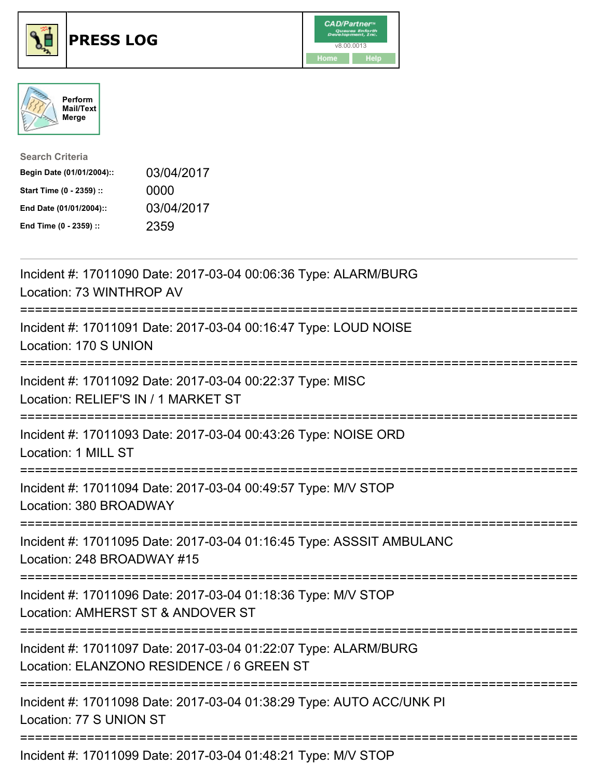





| <b>Search Criteria</b>    |            |
|---------------------------|------------|
| Begin Date (01/01/2004):: | 03/04/2017 |
| Start Time (0 - 2359) ::  | 0000       |
| End Date (01/01/2004)::   | 03/04/2017 |
| End Time (0 - 2359) ::    | 2359       |

| Incident #: 17011090 Date: 2017-03-04 00:06:36 Type: ALARM/BURG<br>Location: 73 WINTHROP AV                                                                                                                                                                                                                                                                                                                                                                                                |
|--------------------------------------------------------------------------------------------------------------------------------------------------------------------------------------------------------------------------------------------------------------------------------------------------------------------------------------------------------------------------------------------------------------------------------------------------------------------------------------------|
| Incident #: 17011091 Date: 2017-03-04 00:16:47 Type: LOUD NOISE<br>Location: 170 S UNION                                                                                                                                                                                                                                                                                                                                                                                                   |
| Incident #: 17011092 Date: 2017-03-04 00:22:37 Type: MISC<br>Location: RELIEF'S IN / 1 MARKET ST<br>============================                                                                                                                                                                                                                                                                                                                                                           |
| Incident #: 17011093 Date: 2017-03-04 00:43:26 Type: NOISE ORD<br>Location: 1 MILL ST                                                                                                                                                                                                                                                                                                                                                                                                      |
| Incident #: 17011094 Date: 2017-03-04 00:49:57 Type: M/V STOP<br>Location: 380 BROADWAY                                                                                                                                                                                                                                                                                                                                                                                                    |
| Incident #: 17011095 Date: 2017-03-04 01:16:45 Type: ASSSIT AMBULANC<br>Location: 248 BROADWAY #15                                                                                                                                                                                                                                                                                                                                                                                         |
| Incident #: 17011096 Date: 2017-03-04 01:18:36 Type: M/V STOP<br>Location: AMHERST ST & ANDOVER ST                                                                                                                                                                                                                                                                                                                                                                                         |
| Incident #: 17011097 Date: 2017-03-04 01:22:07 Type: ALARM/BURG<br>Location: ELANZONO RESIDENCE / 6 GREEN ST                                                                                                                                                                                                                                                                                                                                                                               |
| Incident #: 17011098 Date: 2017-03-04 01:38:29 Type: AUTO ACC/UNK PI<br>Location: 77 S UNION ST                                                                                                                                                                                                                                                                                                                                                                                            |
| $\blacksquare$ $\blacksquare$ $\blacksquare$ $\blacksquare$ $\blacksquare$ $\blacksquare$ $\blacksquare$ $\blacksquare$ $\blacksquare$ $\blacksquare$ $\blacksquare$ $\blacksquare$ $\blacksquare$ $\blacksquare$ $\blacksquare$ $\blacksquare$ $\blacksquare$ $\blacksquare$ $\blacksquare$ $\blacksquare$ $\blacksquare$ $\blacksquare$ $\blacksquare$ $\blacksquare$ $\blacksquare$ $\blacksquare$ $\blacksquare$ $\blacksquare$ $\blacksquare$ $\blacksquare$ $\blacksquare$ $\blacks$ |

Incident #: 17011099 Date: 2017-03-04 01:48:21 Type: M/V STOP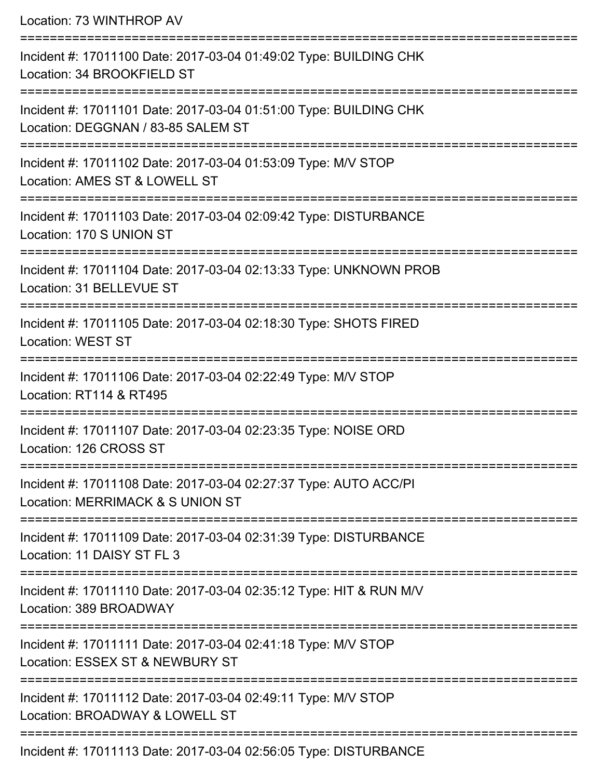Location: 73 WINTHROP AV =========================================================================== Incident #: 17011100 Date: 2017-03-04 01:49:02 Type: BUILDING CHK Location: 34 BROOKFIELD ST =========================================================================== Incident #: 17011101 Date: 2017-03-04 01:51:00 Type: BUILDING CHK Location: DEGGNAN / 83-85 SALEM ST =========================================================================== Incident #: 17011102 Date: 2017-03-04 01:53:09 Type: M/V STOP Location: AMES ST & LOWELL ST =========================================================================== Incident #: 17011103 Date: 2017-03-04 02:09:42 Type: DISTURBANCE Location: 170 S UNION ST =========================================================================== Incident #: 17011104 Date: 2017-03-04 02:13:33 Type: UNKNOWN PROB Location: 31 BELLEVUE ST =========================================================================== Incident #: 17011105 Date: 2017-03-04 02:18:30 Type: SHOTS FIRED Location: WEST ST =========================================================================== Incident #: 17011106 Date: 2017-03-04 02:22:49 Type: M/V STOP Location: RT114 & RT495 =========================================================================== Incident #: 17011107 Date: 2017-03-04 02:23:35 Type: NOISE ORD Location: 126 CROSS ST =========================================================================== Incident #: 17011108 Date: 2017-03-04 02:27:37 Type: AUTO ACC/PI Location: MERRIMACK & S UNION ST =========================================================================== Incident #: 17011109 Date: 2017-03-04 02:31:39 Type: DISTURBANCE Location: 11 DAISY ST FL 3 =========================================================================== Incident #: 17011110 Date: 2017-03-04 02:35:12 Type: HIT & RUN M/V Location: 389 BROADWAY =========================================================================== Incident #: 17011111 Date: 2017-03-04 02:41:18 Type: M/V STOP Location: ESSEX ST & NEWBURY ST =========================================================================== Incident #: 17011112 Date: 2017-03-04 02:49:11 Type: M/V STOP Location: BROADWAY & LOWELL ST ===========================================================================

Incident #: 17011113 Date: 2017-03-04 02:56:05 Type: DISTURBANCE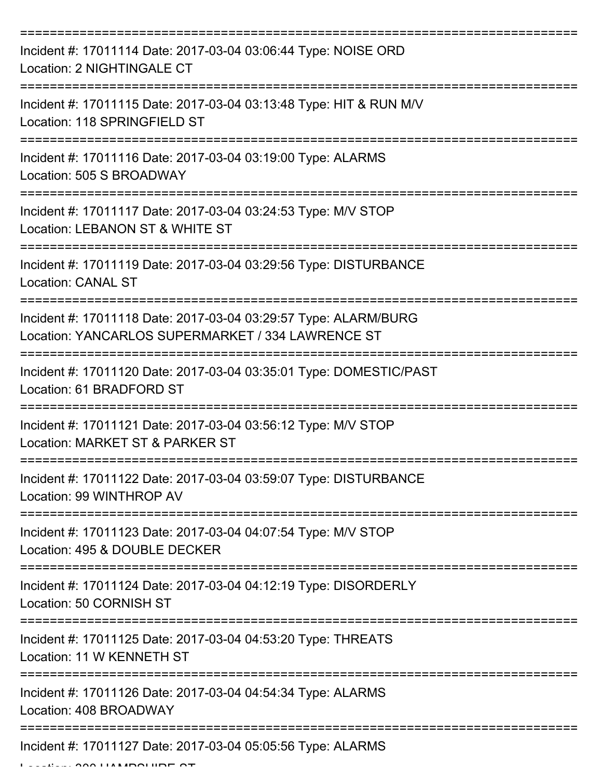| Incident #: 17011114 Date: 2017-03-04 03:06:44 Type: NOISE ORD<br>Location: 2 NIGHTINGALE CT                         |
|----------------------------------------------------------------------------------------------------------------------|
| Incident #: 17011115 Date: 2017-03-04 03:13:48 Type: HIT & RUN M/V<br>Location: 118 SPRINGFIELD ST                   |
| Incident #: 17011116 Date: 2017-03-04 03:19:00 Type: ALARMS<br>Location: 505 S BROADWAY                              |
| Incident #: 17011117 Date: 2017-03-04 03:24:53 Type: M/V STOP<br>Location: LEBANON ST & WHITE ST                     |
| Incident #: 17011119 Date: 2017-03-04 03:29:56 Type: DISTURBANCE<br><b>Location: CANAL ST</b>                        |
| Incident #: 17011118 Date: 2017-03-04 03:29:57 Type: ALARM/BURG<br>Location: YANCARLOS SUPERMARKET / 334 LAWRENCE ST |
| Incident #: 17011120 Date: 2017-03-04 03:35:01 Type: DOMESTIC/PAST<br>Location: 61 BRADFORD ST                       |
| Incident #: 17011121 Date: 2017-03-04 03:56:12 Type: M/V STOP<br>Location: MARKET ST & PARKER ST                     |
| Incident #: 17011122 Date: 2017-03-04 03:59:07 Type: DISTURBANCE<br>Location: 99 WINTHROP AV                         |
| Incident #: 17011123 Date: 2017-03-04 04:07:54 Type: M/V STOP<br>Location: 495 & DOUBLE DECKER                       |
| Incident #: 17011124 Date: 2017-03-04 04:12:19 Type: DISORDERLY<br>Location: 50 CORNISH ST                           |
| Incident #: 17011125 Date: 2017-03-04 04:53:20 Type: THREATS<br>Location: 11 W KENNETH ST                            |
| Incident #: 17011126 Date: 2017-03-04 04:54:34 Type: ALARMS<br>Location: 408 BROADWAY                                |
| Incident #: 17011127 Date: 2017-03-04 05:05:56 Type: ALARMS                                                          |

Location: 300 HAMPSHIRE ST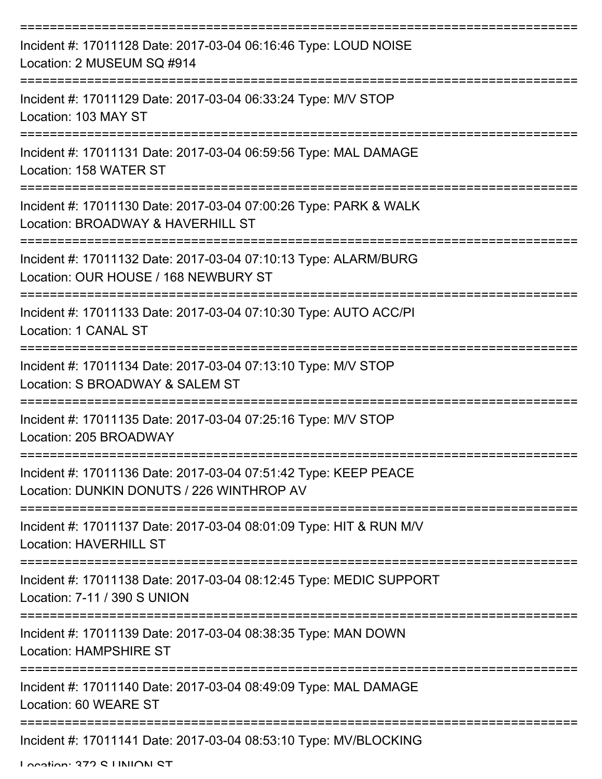| Incident #: 17011128 Date: 2017-03-04 06:16:46 Type: LOUD NOISE<br>Location: 2 MUSEUM SQ #914                |
|--------------------------------------------------------------------------------------------------------------|
| Incident #: 17011129 Date: 2017-03-04 06:33:24 Type: M/V STOP<br>Location: 103 MAY ST                        |
| Incident #: 17011131 Date: 2017-03-04 06:59:56 Type: MAL DAMAGE<br>Location: 158 WATER ST                    |
| Incident #: 17011130 Date: 2017-03-04 07:00:26 Type: PARK & WALK<br>Location: BROADWAY & HAVERHILL ST        |
| Incident #: 17011132 Date: 2017-03-04 07:10:13 Type: ALARM/BURG<br>Location: OUR HOUSE / 168 NEWBURY ST      |
| Incident #: 17011133 Date: 2017-03-04 07:10:30 Type: AUTO ACC/PI<br>Location: 1 CANAL ST                     |
| Incident #: 17011134 Date: 2017-03-04 07:13:10 Type: M/V STOP<br>Location: S BROADWAY & SALEM ST             |
| Incident #: 17011135 Date: 2017-03-04 07:25:16 Type: M/V STOP<br>Location: 205 BROADWAY                      |
| Incident #: 17011136 Date: 2017-03-04 07:51:42 Type: KEEP PEACE<br>Location: DUNKIN DONUTS / 226 WINTHROP AV |
| Incident #: 17011137 Date: 2017-03-04 08:01:09 Type: HIT & RUN M/V<br><b>Location: HAVERHILL ST</b>          |
| Incident #: 17011138 Date: 2017-03-04 08:12:45 Type: MEDIC SUPPORT<br>Location: 7-11 / 390 S UNION           |
| Incident #: 17011139 Date: 2017-03-04 08:38:35 Type: MAN DOWN<br><b>Location: HAMPSHIRE ST</b>               |
| Incident #: 17011140 Date: 2017-03-04 08:49:09 Type: MAL DAMAGE<br>Location: 60 WEARE ST                     |
| Incident #: 17011141 Date: 2017-03-04 08:53:10 Type: MV/BLOCKING                                             |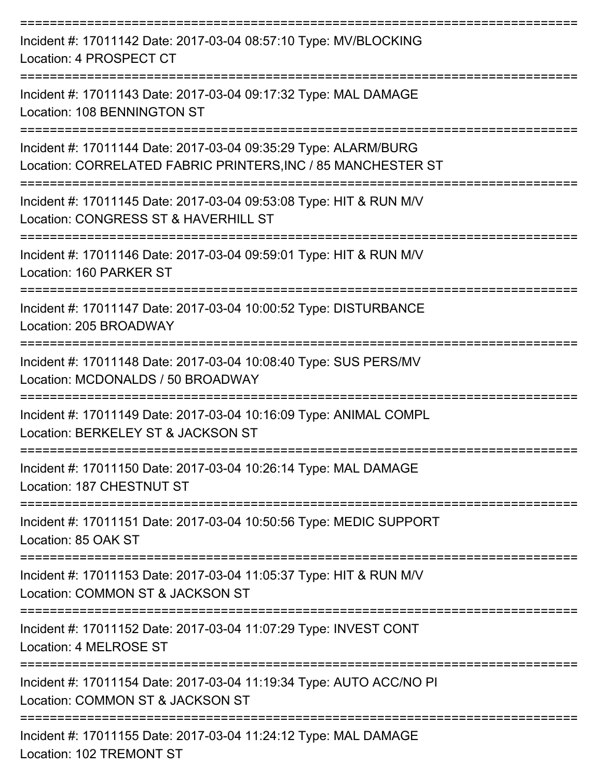| Incident #: 17011142 Date: 2017-03-04 08:57:10 Type: MV/BLOCKING<br>Location: 4 PROSPECT CT                                                    |
|------------------------------------------------------------------------------------------------------------------------------------------------|
| Incident #: 17011143 Date: 2017-03-04 09:17:32 Type: MAL DAMAGE<br>Location: 108 BENNINGTON ST                                                 |
| Incident #: 17011144 Date: 2017-03-04 09:35:29 Type: ALARM/BURG<br>Location: CORRELATED FABRIC PRINTERS, INC / 85 MANCHESTER ST                |
| Incident #: 17011145 Date: 2017-03-04 09:53:08 Type: HIT & RUN M/V<br>Location: CONGRESS ST & HAVERHILL ST                                     |
| Incident #: 17011146 Date: 2017-03-04 09:59:01 Type: HIT & RUN M/V<br>Location: 160 PARKER ST                                                  |
| Incident #: 17011147 Date: 2017-03-04 10:00:52 Type: DISTURBANCE<br>Location: 205 BROADWAY                                                     |
| Incident #: 17011148 Date: 2017-03-04 10:08:40 Type: SUS PERS/MV<br>Location: MCDONALDS / 50 BROADWAY                                          |
| Incident #: 17011149 Date: 2017-03-04 10:16:09 Type: ANIMAL COMPL<br>Location: BERKELEY ST & JACKSON ST                                        |
| Incident #: 17011150 Date: 2017-03-04 10:26:14 Type: MAL DAMAGE<br>Location: 187 CHESTNUT ST                                                   |
| ----------------<br>Incident #: 17011151 Date: 2017-03-04 10:50:56 Type: MEDIC SUPPORT<br>Location: 85 OAK ST                                  |
| ------------------------------------<br>Incident #: 17011153 Date: 2017-03-04 11:05:37 Type: HIT & RUN M/V<br>Location: COMMON ST & JACKSON ST |
| Incident #: 17011152 Date: 2017-03-04 11:07:29 Type: INVEST CONT<br>Location: 4 MELROSE ST                                                     |
| Incident #: 17011154 Date: 2017-03-04 11:19:34 Type: AUTO ACC/NO PI<br>Location: COMMON ST & JACKSON ST                                        |
| Incident #: 17011155 Date: 2017-03-04 11:24:12 Type: MAL DAMAGE<br>Location: 102 TREMONT ST                                                    |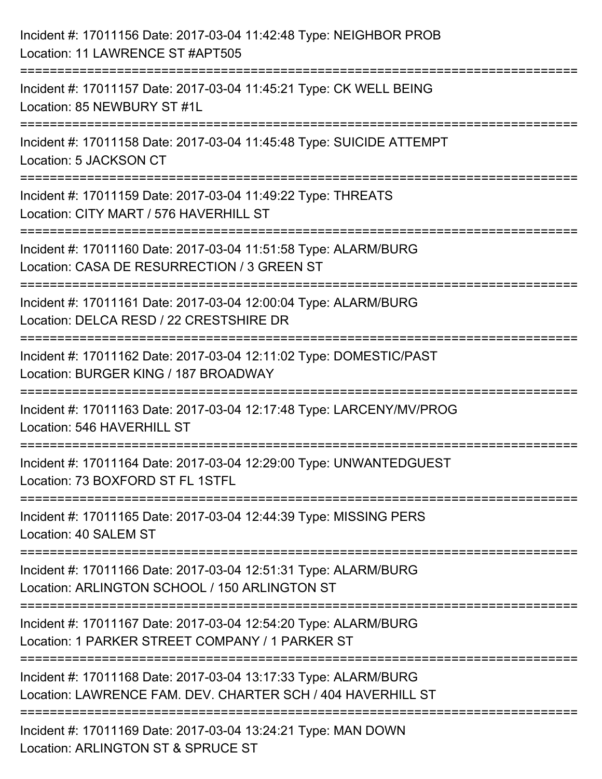| Incident #: 17011156 Date: 2017-03-04 11:42:48 Type: NEIGHBOR PROB<br>Location: 11 LAWRENCE ST #APT505                                         |
|------------------------------------------------------------------------------------------------------------------------------------------------|
| ;===================================<br>Incident #: 17011157 Date: 2017-03-04 11:45:21 Type: CK WELL BEING<br>Location: 85 NEWBURY ST #1L      |
| Incident #: 17011158 Date: 2017-03-04 11:45:48 Type: SUICIDE ATTEMPT<br>Location: 5 JACKSON CT                                                 |
| =================================<br>Incident #: 17011159 Date: 2017-03-04 11:49:22 Type: THREATS<br>Location: CITY MART / 576 HAVERHILL ST    |
| Incident #: 17011160 Date: 2017-03-04 11:51:58 Type: ALARM/BURG<br>Location: CASA DE RESURRECTION / 3 GREEN ST                                 |
| Incident #: 17011161 Date: 2017-03-04 12:00:04 Type: ALARM/BURG<br>Location: DELCA RESD / 22 CRESTSHIRE DR                                     |
| ================================<br>Incident #: 17011162 Date: 2017-03-04 12:11:02 Type: DOMESTIC/PAST<br>Location: BURGER KING / 187 BROADWAY |
| Incident #: 17011163 Date: 2017-03-04 12:17:48 Type: LARCENY/MV/PROG<br>Location: 546 HAVERHILL ST                                             |
| Incident #: 17011164 Date: 2017-03-04 12:29:00 Type: UNWANTEDGUEST<br>Location: 73 BOXFORD ST FL 1STFL                                         |
| Incident #: 17011165 Date: 2017-03-04 12:44:39 Type: MISSING PERS<br>Location: 40 SALEM ST                                                     |
| Incident #: 17011166 Date: 2017-03-04 12:51:31 Type: ALARM/BURG<br>Location: ARLINGTON SCHOOL / 150 ARLINGTON ST                               |
| Incident #: 17011167 Date: 2017-03-04 12:54:20 Type: ALARM/BURG<br>Location: 1 PARKER STREET COMPANY / 1 PARKER ST                             |
| Incident #: 17011168 Date: 2017-03-04 13:17:33 Type: ALARM/BURG<br>Location: LAWRENCE FAM. DEV. CHARTER SCH / 404 HAVERHILL ST                 |
| Incident #: 17011169 Date: 2017-03-04 13:24:21 Type: MAN DOWN<br>Location: ARLINGTON ST & SPRUCE ST                                            |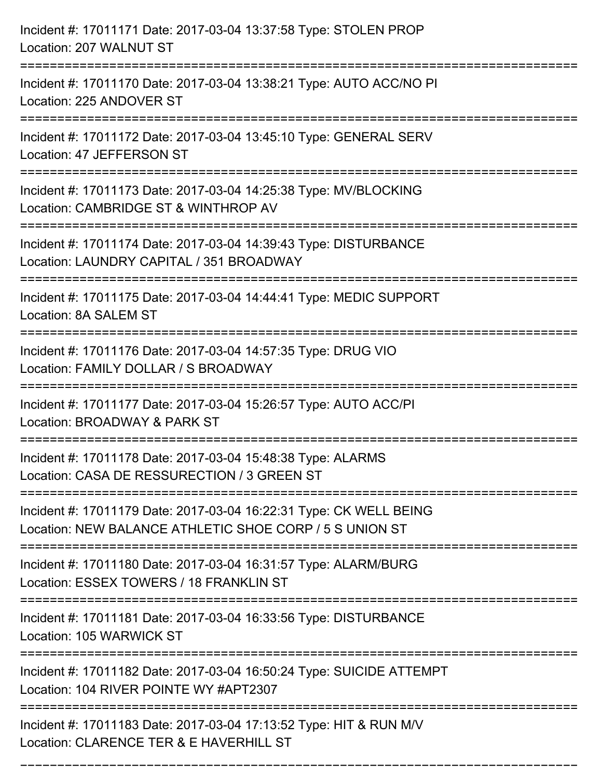| Incident #: 17011171 Date: 2017-03-04 13:37:58 Type: STOLEN PROP<br>Location: 207 WALNUT ST                                   |
|-------------------------------------------------------------------------------------------------------------------------------|
| Incident #: 17011170 Date: 2017-03-04 13:38:21 Type: AUTO ACC/NO PI<br>Location: 225 ANDOVER ST                               |
| Incident #: 17011172 Date: 2017-03-04 13:45:10 Type: GENERAL SERV<br>Location: 47 JEFFERSON ST                                |
| Incident #: 17011173 Date: 2017-03-04 14:25:38 Type: MV/BLOCKING<br>Location: CAMBRIDGE ST & WINTHROP AV                      |
| Incident #: 17011174 Date: 2017-03-04 14:39:43 Type: DISTURBANCE<br>Location: LAUNDRY CAPITAL / 351 BROADWAY                  |
| Incident #: 17011175 Date: 2017-03-04 14:44:41 Type: MEDIC SUPPORT<br>Location: 8A SALEM ST                                   |
| Incident #: 17011176 Date: 2017-03-04 14:57:35 Type: DRUG VIO<br>Location: FAMILY DOLLAR / S BROADWAY                         |
| Incident #: 17011177 Date: 2017-03-04 15:26:57 Type: AUTO ACC/PI<br>Location: BROADWAY & PARK ST                              |
| Incident #: 17011178 Date: 2017-03-04 15:48:38 Type: ALARMS<br>Location: CASA DE RESSURECTION / 3 GREEN ST                    |
| Incident #: 17011179 Date: 2017-03-04 16:22:31 Type: CK WELL BEING<br>Location: NEW BALANCE ATHLETIC SHOE CORP / 5 S UNION ST |
| Incident #: 17011180 Date: 2017-03-04 16:31:57 Type: ALARM/BURG<br>Location: ESSEX TOWERS / 18 FRANKLIN ST                    |
| Incident #: 17011181 Date: 2017-03-04 16:33:56 Type: DISTURBANCE<br>Location: 105 WARWICK ST                                  |
| Incident #: 17011182 Date: 2017-03-04 16:50:24 Type: SUICIDE ATTEMPT<br>Location: 104 RIVER POINTE WY #APT2307                |
| Incident #: 17011183 Date: 2017-03-04 17:13:52 Type: HIT & RUN M/V<br>Location: CLARENCE TER & E HAVERHILL ST                 |

===========================================================================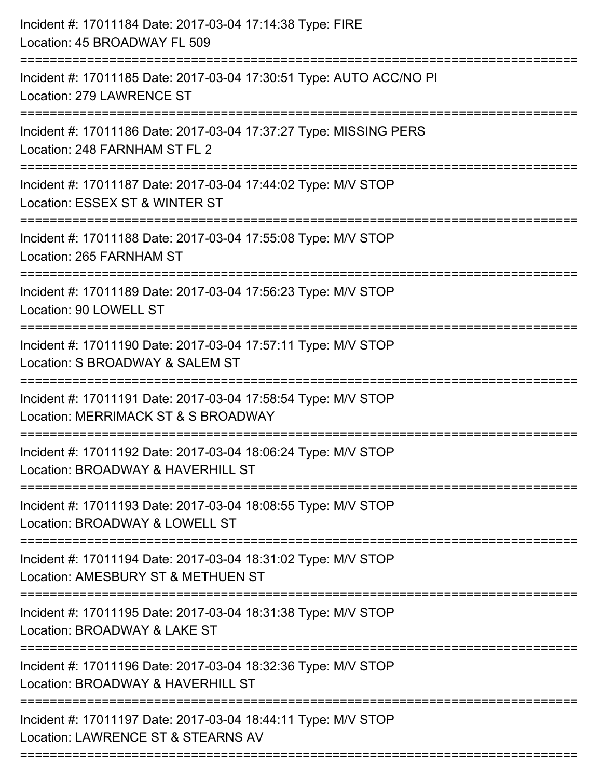| :======================<br>:====================== | Incident #: 17011184 Date: 2017-03-04 17:14:38 Type: FIRE<br>Location: 45 BROADWAY FL 509            |
|----------------------------------------------------|------------------------------------------------------------------------------------------------------|
|                                                    | Incident #: 17011185 Date: 2017-03-04 17:30:51 Type: AUTO ACC/NO PI<br>Location: 279 LAWRENCE ST     |
|                                                    | Incident #: 17011186 Date: 2017-03-04 17:37:27 Type: MISSING PERS<br>Location: 248 FARNHAM ST FL 2   |
|                                                    | Incident #: 17011187 Date: 2017-03-04 17:44:02 Type: M/V STOP<br>Location: ESSEX ST & WINTER ST      |
|                                                    | Incident #: 17011188 Date: 2017-03-04 17:55:08 Type: M/V STOP<br>Location: 265 FARNHAM ST            |
|                                                    | Incident #: 17011189 Date: 2017-03-04 17:56:23 Type: M/V STOP<br>Location: 90 LOWELL ST              |
|                                                    | Incident #: 17011190 Date: 2017-03-04 17:57:11 Type: M/V STOP<br>Location: S BROADWAY & SALEM ST     |
|                                                    | Incident #: 17011191 Date: 2017-03-04 17:58:54 Type: M/V STOP<br>Location: MERRIMACK ST & S BROADWAY |
|                                                    | Incident #: 17011192 Date: 2017-03-04 18:06:24 Type: M/V STOP<br>Location: BROADWAY & HAVERHILL ST   |
|                                                    | Incident #: 17011193 Date: 2017-03-04 18:08:55 Type: M/V STOP<br>Location: BROADWAY & LOWELL ST      |
|                                                    | Incident #: 17011194 Date: 2017-03-04 18:31:02 Type: M/V STOP<br>Location: AMESBURY ST & METHUEN ST  |
|                                                    | Incident #: 17011195 Date: 2017-03-04 18:31:38 Type: M/V STOP<br>Location: BROADWAY & LAKE ST        |
|                                                    | Incident #: 17011196 Date: 2017-03-04 18:32:36 Type: M/V STOP<br>Location: BROADWAY & HAVERHILL ST   |
|                                                    | Incident #: 17011197 Date: 2017-03-04 18:44:11 Type: M/V STOP<br>Location: LAWRENCE ST & STEARNS AV  |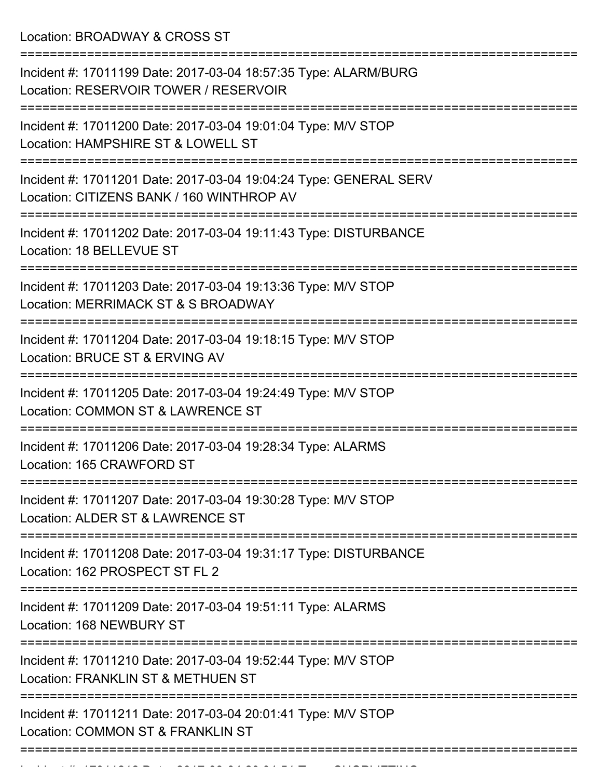Location: BROADWAY & CROSS ST

| Incident #: 17011199 Date: 2017-03-04 18:57:35 Type: ALARM/BURG<br>Location: RESERVOIR TOWER / RESERVOIR       |
|----------------------------------------------------------------------------------------------------------------|
| Incident #: 17011200 Date: 2017-03-04 19:01:04 Type: M/V STOP<br>Location: HAMPSHIRE ST & LOWELL ST            |
| Incident #: 17011201 Date: 2017-03-04 19:04:24 Type: GENERAL SERV<br>Location: CITIZENS BANK / 160 WINTHROP AV |
| Incident #: 17011202 Date: 2017-03-04 19:11:43 Type: DISTURBANCE<br>Location: 18 BELLEVUE ST                   |
| Incident #: 17011203 Date: 2017-03-04 19:13:36 Type: M/V STOP<br>Location: MERRIMACK ST & S BROADWAY           |
| Incident #: 17011204 Date: 2017-03-04 19:18:15 Type: M/V STOP<br>Location: BRUCE ST & ERVING AV                |
| Incident #: 17011205 Date: 2017-03-04 19:24:49 Type: M/V STOP<br>Location: COMMON ST & LAWRENCE ST             |
| Incident #: 17011206 Date: 2017-03-04 19:28:34 Type: ALARMS<br>Location: 165 CRAWFORD ST                       |
| Incident #: 17011207 Date: 2017-03-04 19:30:28 Type: M/V STOP<br>Location: ALDER ST & LAWRENCE ST              |
| Incident #: 17011208 Date: 2017-03-04 19:31:17 Type: DISTURBANCE<br>Location: 162 PROSPECT ST FL 2             |
| Incident #: 17011209 Date: 2017-03-04 19:51:11 Type: ALARMS<br>Location: 168 NEWBURY ST                        |
| Incident #: 17011210 Date: 2017-03-04 19:52:44 Type: M/V STOP<br>Location: FRANKLIN ST & METHUEN ST            |
| Incident #: 17011211 Date: 2017-03-04 20:01:41 Type: M/V STOP<br>Location: COMMON ST & FRANKLIN ST             |
|                                                                                                                |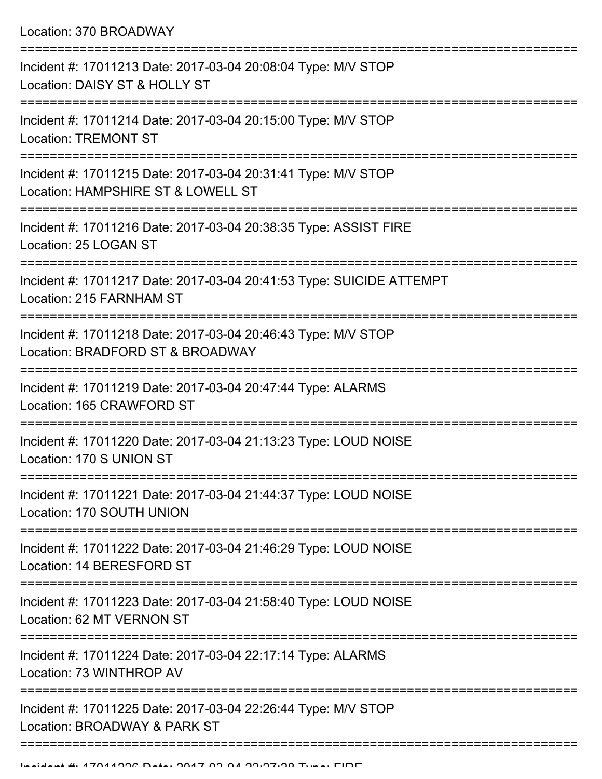Location: 370 BROADWAY

| Incident #: 17011213 Date: 2017-03-04 20:08:04 Type: M/V STOP<br>Location: DAISY ST & HOLLY ST      |
|-----------------------------------------------------------------------------------------------------|
| Incident #: 17011214 Date: 2017-03-04 20:15:00 Type: M/V STOP<br><b>Location: TREMONT ST</b>        |
| Incident #: 17011215 Date: 2017-03-04 20:31:41 Type: M/V STOP<br>Location: HAMPSHIRE ST & LOWELL ST |
| Incident #: 17011216 Date: 2017-03-04 20:38:35 Type: ASSIST FIRE<br>Location: 25 LOGAN ST           |
| Incident #: 17011217 Date: 2017-03-04 20:41:53 Type: SUICIDE ATTEMPT<br>Location: 215 FARNHAM ST    |
| Incident #: 17011218 Date: 2017-03-04 20:46:43 Type: M/V STOP<br>Location: BRADFORD ST & BROADWAY   |
| Incident #: 17011219 Date: 2017-03-04 20:47:44 Type: ALARMS<br>Location: 165 CRAWFORD ST            |
| Incident #: 17011220 Date: 2017-03-04 21:13:23 Type: LOUD NOISE<br>Location: 170 S UNION ST         |
| Incident #: 17011221 Date: 2017-03-04 21:44:37 Type: LOUD NOISE<br>Location: 170 SOUTH UNION        |
| Incident #: 17011222 Date: 2017-03-04 21:46:29 Type: LOUD NOISE<br>Location: 14 BERESFORD ST        |
| Incident #: 17011223 Date: 2017-03-04 21:58:40 Type: LOUD NOISE<br>Location: 62 MT VERNON ST        |
| Incident #: 17011224 Date: 2017-03-04 22:17:14 Type: ALARMS<br>Location: 73 WINTHROP AV             |
| Incident #: 17011225 Date: 2017-03-04 22:26:44 Type: M/V STOP<br>Location: BROADWAY & PARK ST       |
|                                                                                                     |